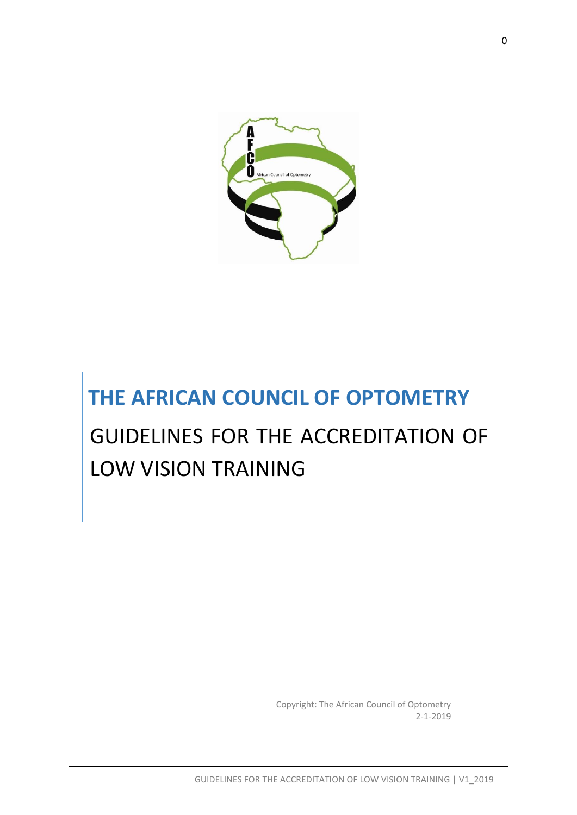

# **THE AFRICAN COUNCIL OF OPTOMETRY**

# GUIDELINES FOR THE ACCREDITATION OF LOW VISION TRAINING

Copyright: The African Council of Optometry 2-1-2019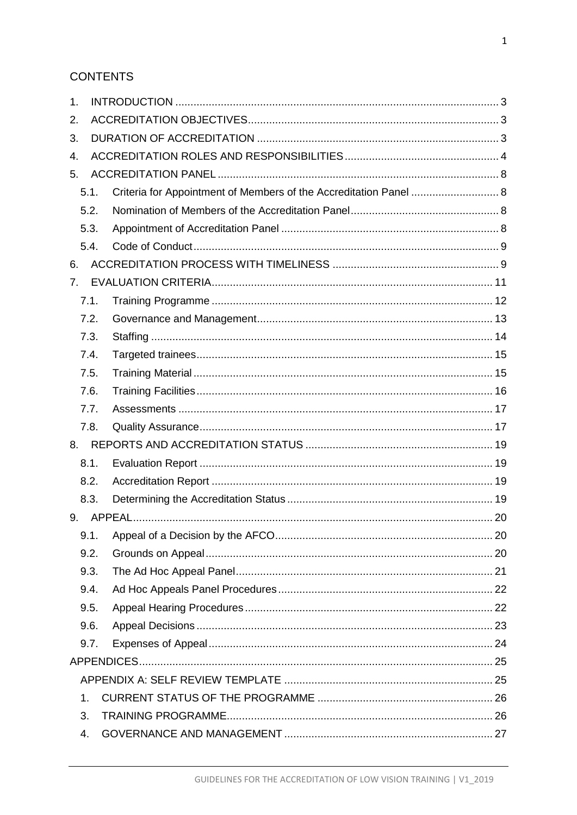# **CONTENTS**

| 1.             |      |                                                                   |  |
|----------------|------|-------------------------------------------------------------------|--|
| 2.             |      |                                                                   |  |
| 3.             |      |                                                                   |  |
| 4.             |      |                                                                   |  |
| 5.             |      |                                                                   |  |
|                | 5.1. | Criteria for Appointment of Members of the Accreditation Panel  8 |  |
|                | 5.2. |                                                                   |  |
|                | 5.3. |                                                                   |  |
|                | 5.4. |                                                                   |  |
| 6.             |      |                                                                   |  |
| 7.             |      |                                                                   |  |
|                | 7.1. |                                                                   |  |
|                | 7.2. |                                                                   |  |
|                | 7.3. |                                                                   |  |
|                | 7.4. |                                                                   |  |
|                | 7.5. |                                                                   |  |
|                | 7.6. |                                                                   |  |
|                | 7.7. |                                                                   |  |
|                | 7.8. |                                                                   |  |
| 8.             |      |                                                                   |  |
|                | 8.1. |                                                                   |  |
|                | 8.2. |                                                                   |  |
|                | 8.3. |                                                                   |  |
| 9.             |      |                                                                   |  |
|                | 9.1. |                                                                   |  |
|                | 9.2. |                                                                   |  |
|                | 9.3. |                                                                   |  |
|                | 9.4. |                                                                   |  |
|                | 9.5. |                                                                   |  |
|                | 9.6. |                                                                   |  |
|                | 9.7. |                                                                   |  |
|                |      |                                                                   |  |
|                |      |                                                                   |  |
| $\mathbf{1}$ . |      |                                                                   |  |
| 3.             |      |                                                                   |  |
| 4.             |      |                                                                   |  |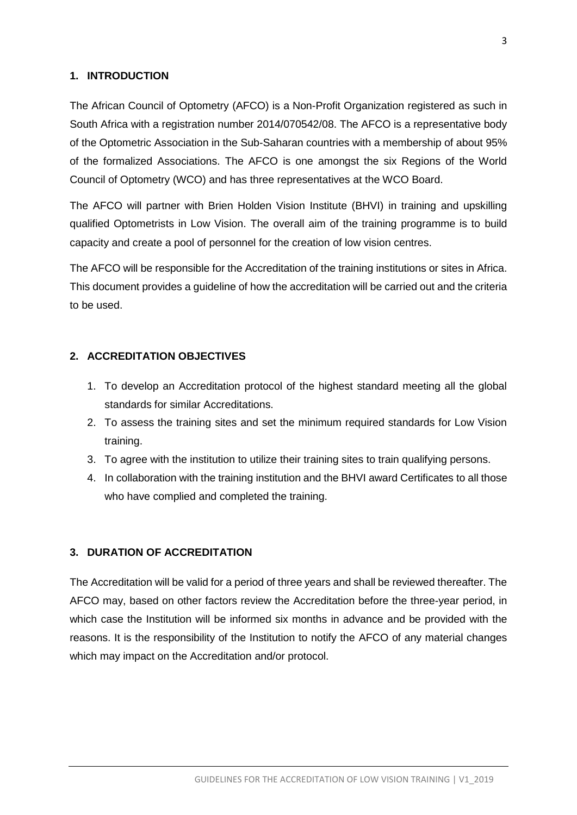#### <span id="page-3-0"></span>**1. INTRODUCTION**

The African Council of Optometry (AFCO) is a Non-Profit Organization registered as such in South Africa with a registration number 2014/070542/08. The AFCO is a representative body of the Optometric Association in the Sub-Saharan countries with a membership of about 95% of the formalized Associations. The AFCO is one amongst the six Regions of the World Council of Optometry (WCO) and has three representatives at the WCO Board.

The AFCO will partner with Brien Holden Vision Institute (BHVI) in training and upskilling qualified Optometrists in Low Vision. The overall aim of the training programme is to build capacity and create a pool of personnel for the creation of low vision centres.

The AFCO will be responsible for the Accreditation of the training institutions or sites in Africa. This document provides a guideline of how the accreditation will be carried out and the criteria to be used.

#### <span id="page-3-1"></span>**2. ACCREDITATION OBJECTIVES**

- 1. To develop an Accreditation protocol of the highest standard meeting all the global standards for similar Accreditations.
- 2. To assess the training sites and set the minimum required standards for Low Vision training.
- 3. To agree with the institution to utilize their training sites to train qualifying persons.
- 4. In collaboration with the training institution and the BHVI award Certificates to all those who have complied and completed the training.

#### <span id="page-3-2"></span>**3. DURATION OF ACCREDITATION**

The Accreditation will be valid for a period of three years and shall be reviewed thereafter. The AFCO may, based on other factors review the Accreditation before the three-year period, in which case the Institution will be informed six months in advance and be provided with the reasons. It is the responsibility of the Institution to notify the AFCO of any material changes which may impact on the Accreditation and/or protocol.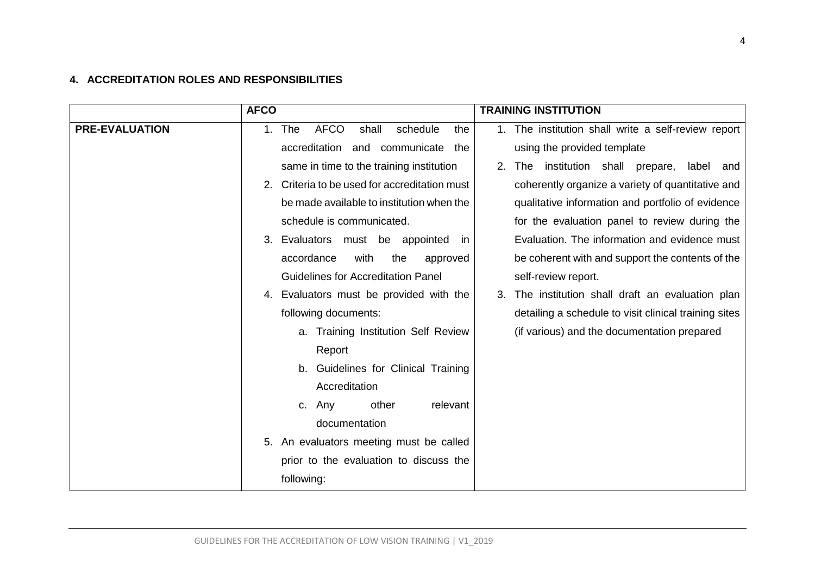## **4. ACCREDITATION ROLES AND RESPONSIBILITIES**

<span id="page-4-0"></span>

|                       | <b>AFCO</b>                                       | <b>TRAINING INSTITUTION</b>                                    |
|-----------------------|---------------------------------------------------|----------------------------------------------------------------|
| <b>PRE-EVALUATION</b> | 1. The<br><b>AFCO</b><br>shall<br>schedule<br>the | 1. The institution shall write a self-review report            |
|                       | accreditation<br>and communicate<br>the           | using the provided template                                    |
|                       | same in time to the training institution          | institution shall prepare,<br><b>The</b><br>2.<br>label<br>and |
|                       | 2. Criteria to be used for accreditation must     | coherently organize a variety of quantitative and              |
|                       | be made available to institution when the         | qualitative information and portfolio of evidence              |
|                       | schedule is communicated.                         | for the evaluation panel to review during the                  |
|                       | Evaluators must be appointed<br>3.<br>ın          | Evaluation. The information and evidence must                  |
|                       | accordance<br>with<br>the<br>approved             | be coherent with and support the contents of the               |
|                       | <b>Guidelines for Accreditation Panel</b>         | self-review report.                                            |
|                       | 4. Evaluators must be provided with the           | The institution shall draft an evaluation plan                 |
|                       | following documents:                              | detailing a schedule to visit clinical training sites          |
|                       | a. Training Institution Self Review               | (if various) and the documentation prepared                    |
|                       | Report                                            |                                                                |
|                       | b. Guidelines for Clinical Training               |                                                                |
|                       | Accreditation                                     |                                                                |
|                       | other<br>relevant<br>c. Any                       |                                                                |
|                       | documentation                                     |                                                                |
|                       | 5. An evaluators meeting must be called           |                                                                |
|                       | prior to the evaluation to discuss the            |                                                                |
|                       | following:                                        |                                                                |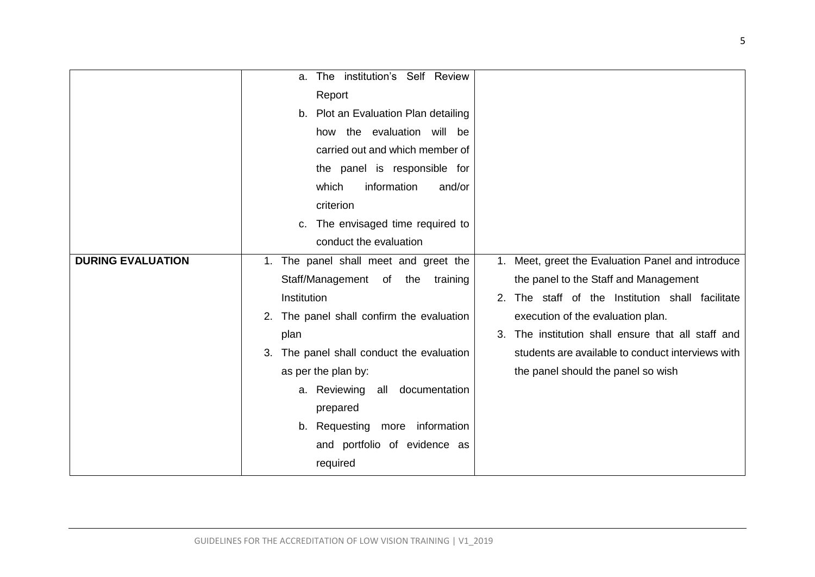|                          | The institution's Self Review<br>a.          |                                                       |
|--------------------------|----------------------------------------------|-------------------------------------------------------|
|                          | Report                                       |                                                       |
|                          | b. Plot an Evaluation Plan detailing         |                                                       |
|                          | how the evaluation will be                   |                                                       |
|                          | carried out and which member of              |                                                       |
|                          | the panel is responsible for                 |                                                       |
|                          | which<br>information<br>and/or               |                                                       |
|                          | criterion                                    |                                                       |
|                          | The envisaged time required to<br>c.         |                                                       |
|                          | conduct the evaluation                       |                                                       |
| <b>DURING EVALUATION</b> | 1. The panel shall meet and greet the        | 1. Meet, greet the Evaluation Panel and introduce     |
|                          | Staff/Management of the<br>training          | the panel to the Staff and Management                 |
|                          | Institution                                  | 2. The staff of the Institution shall facilitate      |
|                          | 2. The panel shall confirm the evaluation    | execution of the evaluation plan.                     |
|                          | plan                                         | The institution shall ensure that all staff and<br>3. |
|                          | The panel shall conduct the evaluation<br>3. | students are available to conduct interviews with     |
|                          | as per the plan by:                          | the panel should the panel so wish                    |
|                          | a. Reviewing all documentation               |                                                       |
|                          | prepared                                     |                                                       |
|                          | b. Requesting more information               |                                                       |
|                          | and portfolio of evidence as                 |                                                       |
|                          | required                                     |                                                       |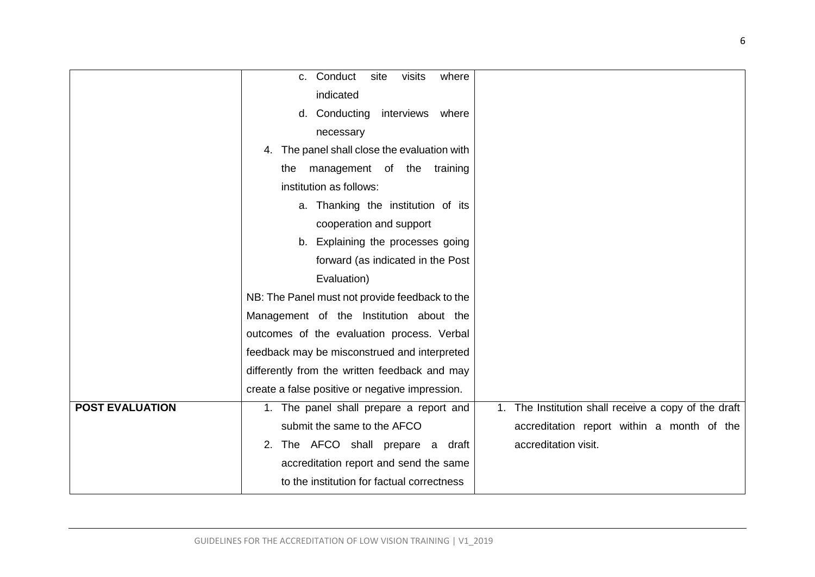|                        | c. Conduct<br>where<br>site<br>visits           |                                                      |
|------------------------|-------------------------------------------------|------------------------------------------------------|
|                        | indicated                                       |                                                      |
|                        |                                                 |                                                      |
|                        | d. Conducting<br>interviews<br>where            |                                                      |
|                        | necessary                                       |                                                      |
|                        | The panel shall close the evaluation with<br>4. |                                                      |
|                        | management of the training<br>the               |                                                      |
|                        | institution as follows:                         |                                                      |
|                        | a. Thanking the institution of its              |                                                      |
|                        | cooperation and support                         |                                                      |
|                        | b. Explaining the processes going               |                                                      |
|                        | forward (as indicated in the Post               |                                                      |
|                        | Evaluation)                                     |                                                      |
|                        | NB: The Panel must not provide feedback to the  |                                                      |
|                        | Management of the Institution about the         |                                                      |
|                        | outcomes of the evaluation process. Verbal      |                                                      |
|                        | feedback may be misconstrued and interpreted    |                                                      |
|                        | differently from the written feedback and may   |                                                      |
|                        | create a false positive or negative impression. |                                                      |
| <b>POST EVALUATION</b> | 1. The panel shall prepare a report and         | 1. The Institution shall receive a copy of the draft |
|                        | submit the same to the AFCO                     | accreditation report within a month of the           |
|                        | 2. The AFCO shall prepare a draft               | accreditation visit.                                 |
|                        | accreditation report and send the same          |                                                      |
|                        | to the institution for factual correctness      |                                                      |
|                        |                                                 |                                                      |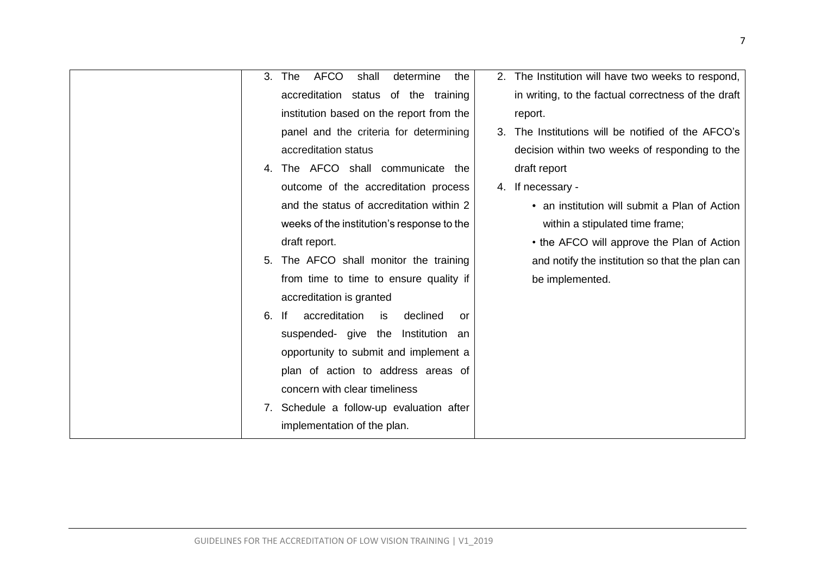| AFCO<br>3.<br>The<br>shall                  | determine<br>2. The Institution will have two weeks to respond,<br>the |
|---------------------------------------------|------------------------------------------------------------------------|
| accreditation status of the training        | in writing, to the factual correctness of the draft                    |
| institution based on the report from the    | report.                                                                |
| panel and the criteria for determining      | 3. The Institutions will be notified of the AFCO's                     |
| accreditation status                        | decision within two weeks of responding to the                         |
| The AFCO shall communicate the<br>4.        | draft report                                                           |
| outcome of the accreditation process        | 4. If necessary -                                                      |
| and the status of accreditation within 2    | • an institution will submit a Plan of Action                          |
| weeks of the institution's response to the  | within a stipulated time frame;                                        |
| draft report.                               | • the AFCO will approve the Plan of Action                             |
| The AFCO shall monitor the training<br>5.   | and notify the institution so that the plan can                        |
| from time to time to ensure quality if      | be implemented.                                                        |
| accreditation is granted                    |                                                                        |
| accreditation<br>lf<br>6.<br>is             | declined<br>or                                                         |
| suspended- give the Institution an          |                                                                        |
| opportunity to submit and implement a       |                                                                        |
| plan of action to address areas of          |                                                                        |
| concern with clear timeliness               |                                                                        |
| Schedule a follow-up evaluation after<br>7. |                                                                        |
| implementation of the plan.                 |                                                                        |
|                                             |                                                                        |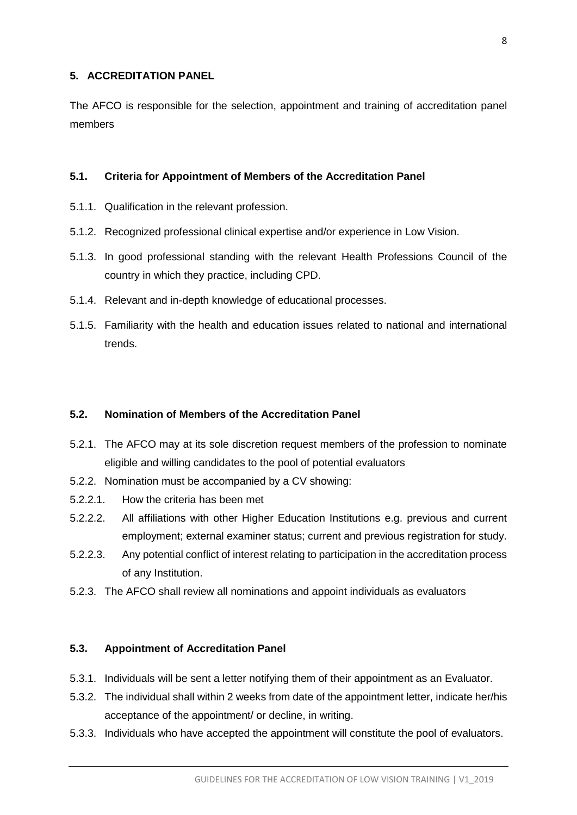#### <span id="page-8-0"></span>**5. ACCREDITATION PANEL**

The AFCO is responsible for the selection, appointment and training of accreditation panel members

#### <span id="page-8-1"></span>**5.1. Criteria for Appointment of Members of the Accreditation Panel**

- 5.1.1. Qualification in the relevant profession.
- 5.1.2. Recognized professional clinical expertise and/or experience in Low Vision.
- 5.1.3. In good professional standing with the relevant Health Professions Council of the country in which they practice, including CPD.
- 5.1.4. Relevant and in-depth knowledge of educational processes.
- 5.1.5. Familiarity with the health and education issues related to national and international trends.

#### <span id="page-8-2"></span>**5.2. Nomination of Members of the Accreditation Panel**

- 5.2.1. The AFCO may at its sole discretion request members of the profession to nominate eligible and willing candidates to the pool of potential evaluators
- 5.2.2. Nomination must be accompanied by a CV showing:
- 5.2.2.1. How the criteria has been met
- 5.2.2.2. All affiliations with other Higher Education Institutions e.g. previous and current employment; external examiner status; current and previous registration for study.
- 5.2.2.3. Any potential conflict of interest relating to participation in the accreditation process of any Institution.
- 5.2.3. The AFCO shall review all nominations and appoint individuals as evaluators

#### <span id="page-8-3"></span>**5.3. Appointment of Accreditation Panel**

- 5.3.1. Individuals will be sent a letter notifying them of their appointment as an Evaluator.
- 5.3.2. The individual shall within 2 weeks from date of the appointment letter, indicate her/his acceptance of the appointment/ or decline, in writing.
- 5.3.3. Individuals who have accepted the appointment will constitute the pool of evaluators.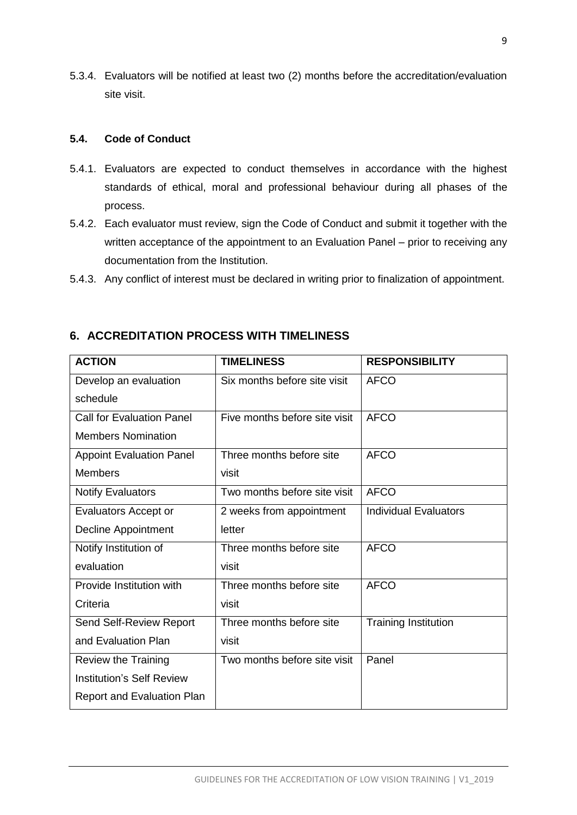5.3.4. Evaluators will be notified at least two (2) months before the accreditation/evaluation site visit.

#### <span id="page-9-0"></span>**5.4. Code of Conduct**

- 5.4.1. Evaluators are expected to conduct themselves in accordance with the highest standards of ethical, moral and professional behaviour during all phases of the process.
- 5.4.2. Each evaluator must review, sign the Code of Conduct and submit it together with the written acceptance of the appointment to an Evaluation Panel – prior to receiving any documentation from the Institution.
- 5.4.3. Any conflict of interest must be declared in writing prior to finalization of appointment.

| <b>ACTION</b>                     | <b>TIMELINESS</b>             | <b>RESPONSIBILITY</b>        |
|-----------------------------------|-------------------------------|------------------------------|
| Develop an evaluation             | Six months before site visit  | <b>AFCO</b>                  |
| schedule                          |                               |                              |
| <b>Call for Evaluation Panel</b>  | Five months before site visit | <b>AFCO</b>                  |
| <b>Members Nomination</b>         |                               |                              |
| <b>Appoint Evaluation Panel</b>   | Three months before site      | <b>AFCO</b>                  |
| <b>Members</b>                    | visit                         |                              |
| <b>Notify Evaluators</b>          | Two months before site visit  | <b>AFCO</b>                  |
| <b>Evaluators Accept or</b>       | 2 weeks from appointment      | <b>Individual Evaluators</b> |
| Decline Appointment               | letter                        |                              |
| Notify Institution of             | Three months before site      | <b>AFCO</b>                  |
| evaluation                        | visit                         |                              |
| Provide Institution with          | Three months before site      | <b>AFCO</b>                  |
| Criteria                          | visit                         |                              |
| Send Self-Review Report           | Three months before site      | <b>Training Institution</b>  |
| and Evaluation Plan               | visit                         |                              |
| <b>Review the Training</b>        | Two months before site visit  | Panel                        |
| <b>Institution's Self Review</b>  |                               |                              |
| <b>Report and Evaluation Plan</b> |                               |                              |

## <span id="page-9-1"></span>**6. ACCREDITATION PROCESS WITH TIMELINESS**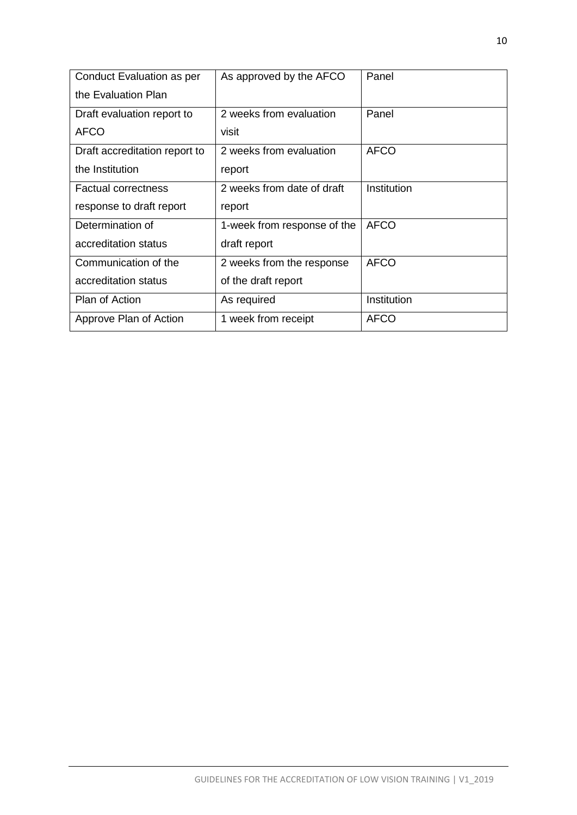| Conduct Evaluation as per<br>the Evaluation Plan | As approved by the AFCO     | Panel       |
|--------------------------------------------------|-----------------------------|-------------|
| Draft evaluation report to                       | 2 weeks from evaluation     | Panel       |
| <b>AFCO</b>                                      | visit                       |             |
| Draft accreditation report to                    | 2 weeks from evaluation     | <b>AFCO</b> |
| the Institution                                  | report                      |             |
| <b>Factual correctness</b>                       | 2 weeks from date of draft  | Institution |
| response to draft report                         | report                      |             |
| Determination of                                 | 1-week from response of the | <b>AFCO</b> |
| accreditation status                             | draft report                |             |
| Communication of the                             | 2 weeks from the response   | <b>AFCO</b> |
| accreditation status                             | of the draft report         |             |
| <b>Plan of Action</b>                            | As required                 | Institution |
| Approve Plan of Action                           | 1 week from receipt         | <b>AFCO</b> |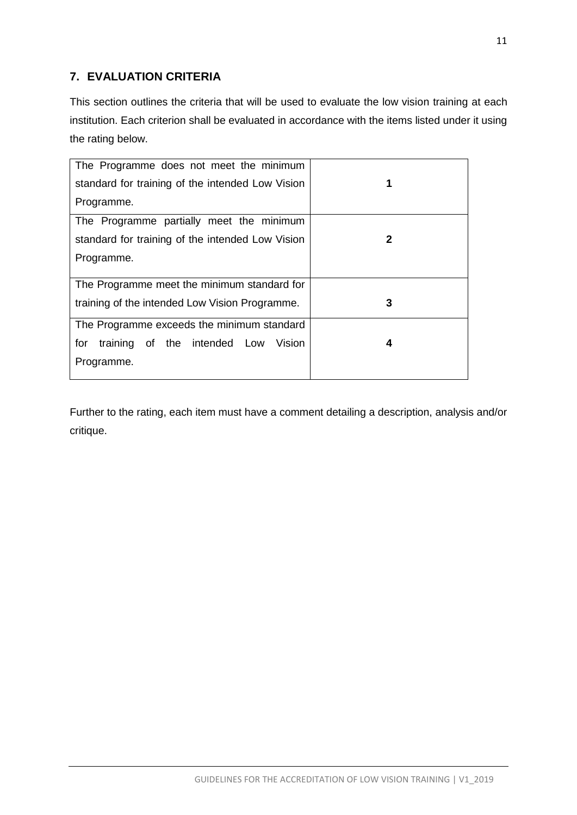# <span id="page-11-0"></span>**7. EVALUATION CRITERIA**

This section outlines the criteria that will be used to evaluate the low vision training at each institution. Each criterion shall be evaluated in accordance with the items listed under it using the rating below.

| The Programme does not meet the minimum          |   |
|--------------------------------------------------|---|
| standard for training of the intended Low Vision | 1 |
| Programme.                                       |   |
| The Programme partially meet the minimum         |   |
| standard for training of the intended Low Vision | 2 |
| Programme.                                       |   |
|                                                  |   |
| The Programme meet the minimum standard for      |   |
| training of the intended Low Vision Programme.   | 3 |
| The Programme exceeds the minimum standard       |   |
| training of the intended Low<br>for<br>Vision    | 4 |
| Programme.                                       |   |
|                                                  |   |

Further to the rating, each item must have a comment detailing a description, analysis and/or critique.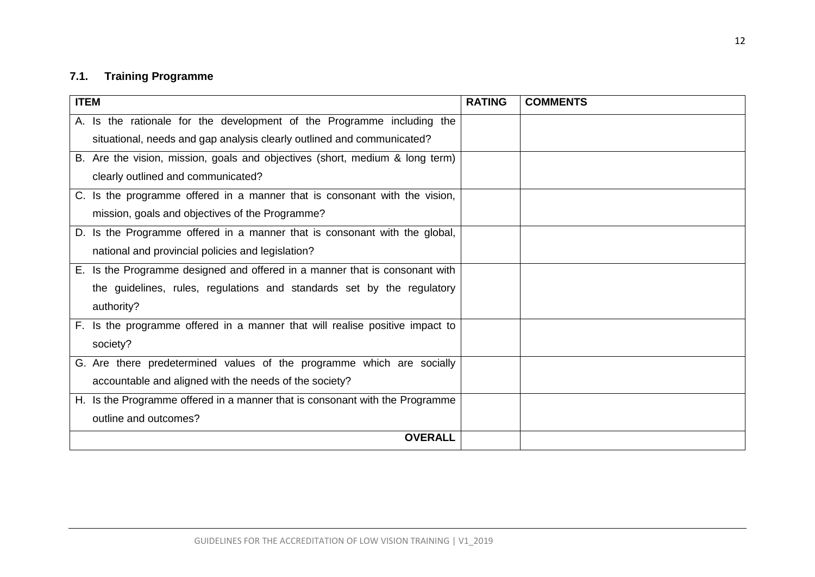# **7.1. Training Programme**

<span id="page-12-0"></span>

| <b>ITEM</b>                                                                  | <b>RATING</b> | <b>COMMENTS</b> |
|------------------------------------------------------------------------------|---------------|-----------------|
| A. Is the rationale for the development of the Programme including the       |               |                 |
| situational, needs and gap analysis clearly outlined and communicated?       |               |                 |
| B. Are the vision, mission, goals and objectives (short, medium & long term) |               |                 |
| clearly outlined and communicated?                                           |               |                 |
| C. Is the programme offered in a manner that is consonant with the vision,   |               |                 |
| mission, goals and objectives of the Programme?                              |               |                 |
| D. Is the Programme offered in a manner that is consonant with the global,   |               |                 |
| national and provincial policies and legislation?                            |               |                 |
| E. Is the Programme designed and offered in a manner that is consonant with  |               |                 |
| the guidelines, rules, regulations and standards set by the regulatory       |               |                 |
| authority?                                                                   |               |                 |
| F. Is the programme offered in a manner that will realise positive impact to |               |                 |
| society?                                                                     |               |                 |
| G. Are there predetermined values of the programme which are socially        |               |                 |
| accountable and aligned with the needs of the society?                       |               |                 |
| H. Is the Programme offered in a manner that is consonant with the Programme |               |                 |
| outline and outcomes?                                                        |               |                 |
| <b>OVERALL</b>                                                               |               |                 |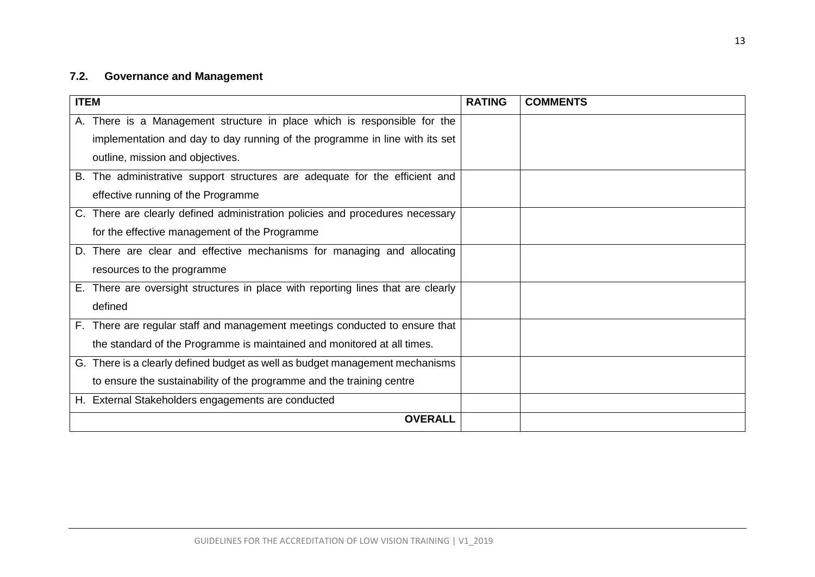# **7.2. Governance and Management**

<span id="page-13-0"></span>

| <b>ITEM</b>                                                                      | <b>RATING</b> | <b>COMMENTS</b> |
|----------------------------------------------------------------------------------|---------------|-----------------|
| A. There is a Management structure in place which is responsible for the         |               |                 |
| implementation and day to day running of the programme in line with its set      |               |                 |
| outline, mission and objectives.                                                 |               |                 |
| B. The administrative support structures are adequate for the efficient and      |               |                 |
| effective running of the Programme                                               |               |                 |
| C. There are clearly defined administration policies and procedures necessary    |               |                 |
| for the effective management of the Programme                                    |               |                 |
| D. There are clear and effective mechanisms for managing and allocating          |               |                 |
| resources to the programme                                                       |               |                 |
| E. There are oversight structures in place with reporting lines that are clearly |               |                 |
| defined                                                                          |               |                 |
| F. There are regular staff and management meetings conducted to ensure that      |               |                 |
| the standard of the Programme is maintained and monitored at all times.          |               |                 |
| G. There is a clearly defined budget as well as budget management mechanisms     |               |                 |
| to ensure the sustainability of the programme and the training centre            |               |                 |
| H. External Stakeholders engagements are conducted                               |               |                 |
| <b>OVERALL</b>                                                                   |               |                 |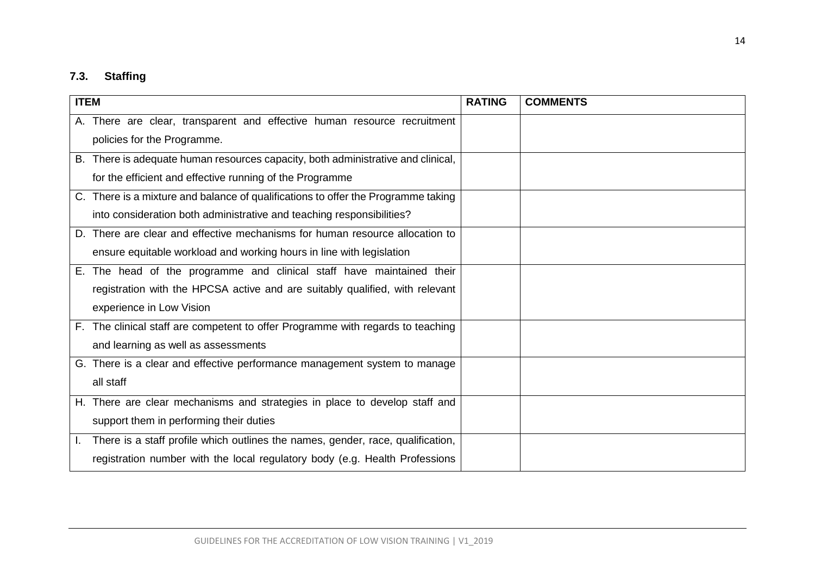# **7.3. Staffing**

<span id="page-14-0"></span>

| <b>ITEM</b>                                                                       | <b>RATING</b> | <b>COMMENTS</b> |
|-----------------------------------------------------------------------------------|---------------|-----------------|
| A. There are clear, transparent and effective human resource recruitment          |               |                 |
| policies for the Programme.                                                       |               |                 |
| B. There is adequate human resources capacity, both administrative and clinical,  |               |                 |
| for the efficient and effective running of the Programme                          |               |                 |
| C. There is a mixture and balance of qualifications to offer the Programme taking |               |                 |
| into consideration both administrative and teaching responsibilities?             |               |                 |
| D. There are clear and effective mechanisms for human resource allocation to      |               |                 |
| ensure equitable workload and working hours in line with legislation              |               |                 |
| E. The head of the programme and clinical staff have maintained their             |               |                 |
| registration with the HPCSA active and are suitably qualified, with relevant      |               |                 |
| experience in Low Vision                                                          |               |                 |
| F. The clinical staff are competent to offer Programme with regards to teaching   |               |                 |
| and learning as well as assessments                                               |               |                 |
| G. There is a clear and effective performance management system to manage         |               |                 |
| all staff                                                                         |               |                 |
| H. There are clear mechanisms and strategies in place to develop staff and        |               |                 |
| support them in performing their duties                                           |               |                 |
| There is a staff profile which outlines the names, gender, race, qualification,   |               |                 |
| registration number with the local regulatory body (e.g. Health Professions       |               |                 |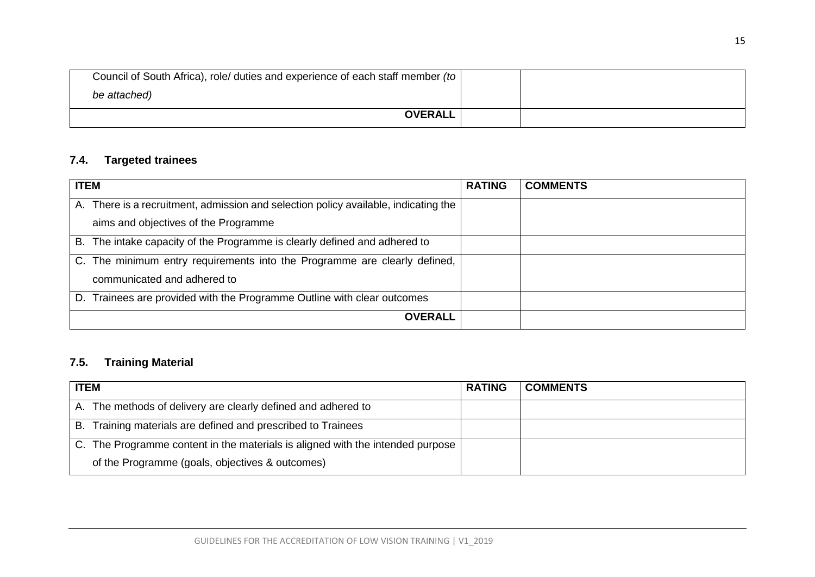| Council of South Africa), role/ duties and experience of each staff member (to |  |
|--------------------------------------------------------------------------------|--|
| be attached)                                                                   |  |
| <b>OVERALL</b>                                                                 |  |

# **7.4. Targeted trainees**

| <b>ITEM</b>                                                                            | <b>RATING</b> | <b>COMMENTS</b> |
|----------------------------------------------------------------------------------------|---------------|-----------------|
| There is a recruitment, admission and selection policy available, indicating the<br>А. |               |                 |
| aims and objectives of the Programme                                                   |               |                 |
| B. The intake capacity of the Programme is clearly defined and adhered to              |               |                 |
| C. The minimum entry requirements into the Programme are clearly defined,              |               |                 |
| communicated and adhered to                                                            |               |                 |
| D. Trainees are provided with the Programme Outline with clear outcomes                |               |                 |
| <b>OVERALL</b>                                                                         |               |                 |

# **7.5. Training Material**

<span id="page-15-1"></span><span id="page-15-0"></span>

| <b>ITEM</b>                                                                    | <b>RATING</b> | <b>COMMENTS</b> |
|--------------------------------------------------------------------------------|---------------|-----------------|
| A. The methods of delivery are clearly defined and adhered to                  |               |                 |
| Training materials are defined and prescribed to Trainees<br>В.                |               |                 |
| C. The Programme content in the materials is aligned with the intended purpose |               |                 |
| of the Programme (goals, objectives & outcomes)                                |               |                 |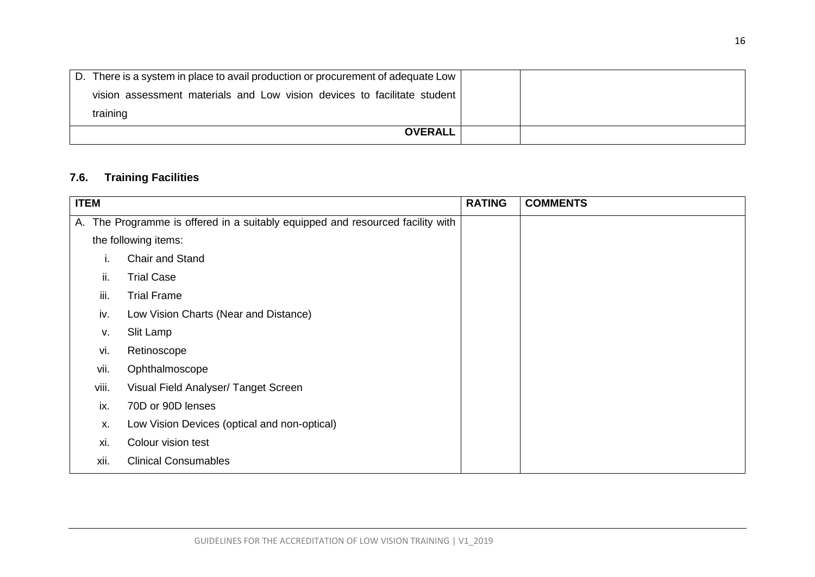| D. There is a system in place to avail production or procurement of adequate Low |  |
|----------------------------------------------------------------------------------|--|
| vision assessment materials and Low vision devices to facilitate student         |  |
| training                                                                         |  |
| <b>OVERALL</b>                                                                   |  |

# **7.6. Training Facilities**

<span id="page-16-0"></span>

| <b>ITEM</b> |                                                                             | <b>RATING</b> | <b>COMMENTS</b> |
|-------------|-----------------------------------------------------------------------------|---------------|-----------------|
| А.          | The Programme is offered in a suitably equipped and resourced facility with |               |                 |
|             | the following items:                                                        |               |                 |
|             | Chair and Stand                                                             |               |                 |
| ii.         | <b>Trial Case</b>                                                           |               |                 |
| iii.        | <b>Trial Frame</b>                                                          |               |                 |
| iv.         | Low Vision Charts (Near and Distance)                                       |               |                 |
| v.          | Slit Lamp                                                                   |               |                 |
| vi.         | Retinoscope                                                                 |               |                 |
| vii.        | Ophthalmoscope                                                              |               |                 |
| viii.       | Visual Field Analyser/ Tanget Screen                                        |               |                 |
| ix.         | 70D or 90D lenses                                                           |               |                 |
| Х.          | Low Vision Devices (optical and non-optical)                                |               |                 |
| xi.         | Colour vision test                                                          |               |                 |
| xii.        | <b>Clinical Consumables</b>                                                 |               |                 |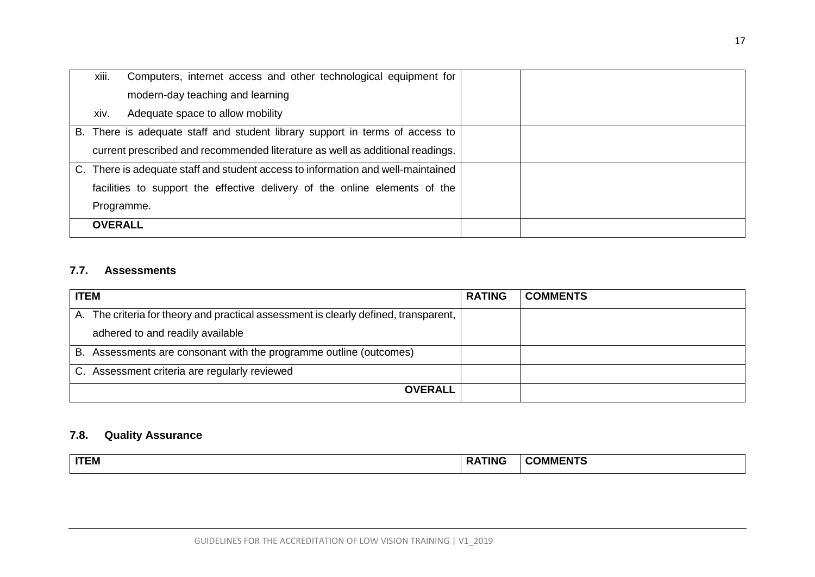| xiii.          | Computers, internet access and other technological equipment for                 |  |
|----------------|----------------------------------------------------------------------------------|--|
|                | modern-day teaching and learning                                                 |  |
| xiv.           | Adequate space to allow mobility                                                 |  |
|                | B. There is adequate staff and student library support in terms of access to     |  |
|                | current prescribed and recommended literature as well as additional readings.    |  |
|                | C. There is adequate staff and student access to information and well-maintained |  |
|                | facilities to support the effective delivery of the online elements of the       |  |
|                | Programme.                                                                       |  |
| <b>OVERALL</b> |                                                                                  |  |

# **7.7. Assessments**

| <b>ITEM</b><br><b>RATING</b>                                                         |  | <b>COMMENTS</b> |
|--------------------------------------------------------------------------------------|--|-----------------|
| A. The criteria for theory and practical assessment is clearly defined, transparent, |  |                 |
| adhered to and readily available                                                     |  |                 |
| B. Assessments are consonant with the programme outline (outcomes)                   |  |                 |
| C. Assessment criteria are regularly reviewed                                        |  |                 |
| <b>OVERALL</b>                                                                       |  |                 |

# **7.8. Quality Assurance**

<span id="page-17-1"></span><span id="page-17-0"></span>

| <b>COMMENTS</b><br><b>ATING</b><br><b>ITEM</b> |  |
|------------------------------------------------|--|
|------------------------------------------------|--|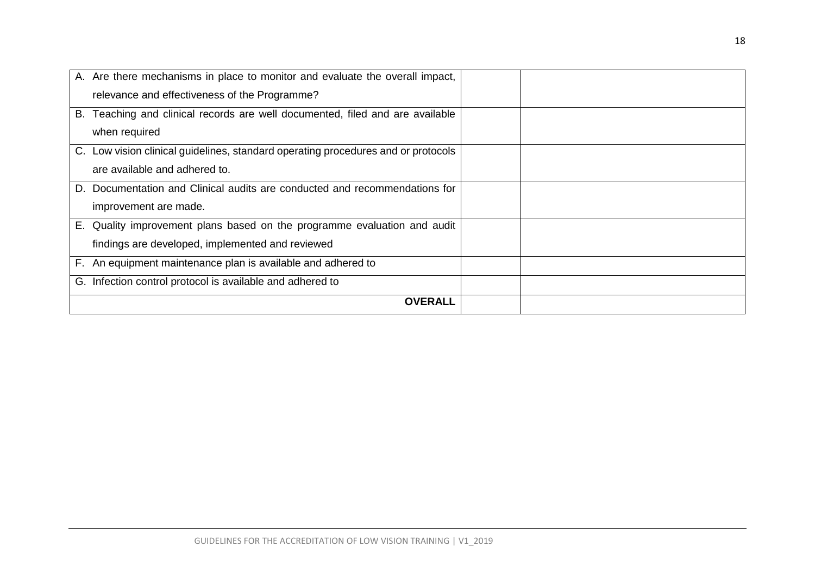| A. Are there mechanisms in place to monitor and evaluate the overall impact,      |  |
|-----------------------------------------------------------------------------------|--|
| relevance and effectiveness of the Programme?                                     |  |
| Teaching and clinical records are well documented, filed and are available<br>В.  |  |
| when required                                                                     |  |
| C. Low vision clinical guidelines, standard operating procedures and or protocols |  |
| are available and adhered to.                                                     |  |
| D. Documentation and Clinical audits are conducted and recommendations for        |  |
| improvement are made.                                                             |  |
| Quality improvement plans based on the programme evaluation and audit<br>Е.       |  |
| findings are developed, implemented and reviewed                                  |  |
| F. An equipment maintenance plan is available and adhered to                      |  |
| Infection control protocol is available and adhered to<br>G.                      |  |
| <b>OVERALL</b>                                                                    |  |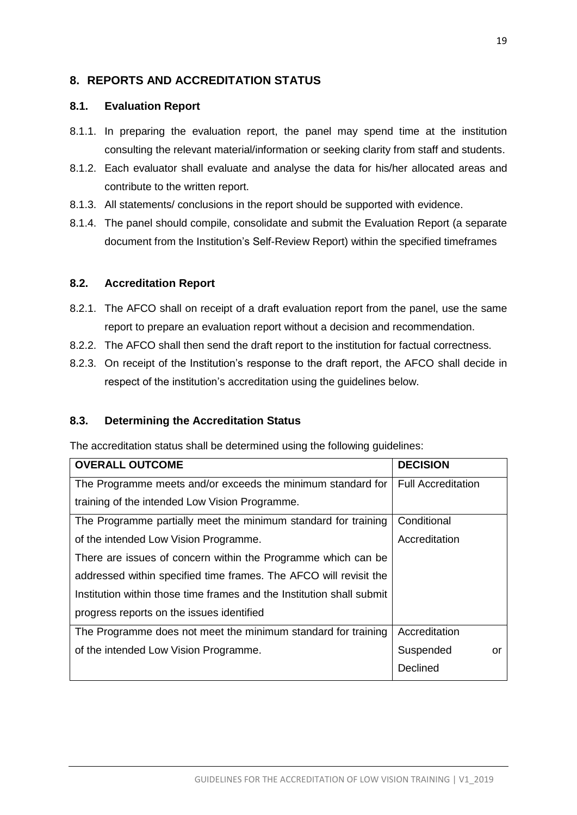# <span id="page-19-0"></span>**8. REPORTS AND ACCREDITATION STATUS**

#### <span id="page-19-1"></span>**8.1. Evaluation Report**

- 8.1.1. In preparing the evaluation report, the panel may spend time at the institution consulting the relevant material/information or seeking clarity from staff and students.
- 8.1.2. Each evaluator shall evaluate and analyse the data for his/her allocated areas and contribute to the written report.
- 8.1.3. All statements/ conclusions in the report should be supported with evidence.
- 8.1.4. The panel should compile, consolidate and submit the Evaluation Report (a separate document from the Institution's Self-Review Report) within the specified timeframes

#### <span id="page-19-2"></span>**8.2. Accreditation Report**

- 8.2.1. The AFCO shall on receipt of a draft evaluation report from the panel, use the same report to prepare an evaluation report without a decision and recommendation.
- 8.2.2. The AFCO shall then send the draft report to the institution for factual correctness.
- 8.2.3. On receipt of the Institution's response to the draft report, the AFCO shall decide in respect of the institution's accreditation using the guidelines below.

## <span id="page-19-3"></span>**8.3. Determining the Accreditation Status**

The accreditation status shall be determined using the following guidelines:

| <b>OVERALL OUTCOME</b>                                                | <b>DECISION</b>           |
|-----------------------------------------------------------------------|---------------------------|
| The Programme meets and/or exceeds the minimum standard for           | <b>Full Accreditation</b> |
| training of the intended Low Vision Programme.                        |                           |
| The Programme partially meet the minimum standard for training        | Conditional               |
| of the intended Low Vision Programme.                                 | Accreditation             |
| There are issues of concern within the Programme which can be         |                           |
| addressed within specified time frames. The AFCO will revisit the     |                           |
| Institution within those time frames and the Institution shall submit |                           |
| progress reports on the issues identified                             |                           |
| The Programme does not meet the minimum standard for training         | Accreditation             |
| of the intended Low Vision Programme.                                 | Suspended<br>or           |
|                                                                       | Declined                  |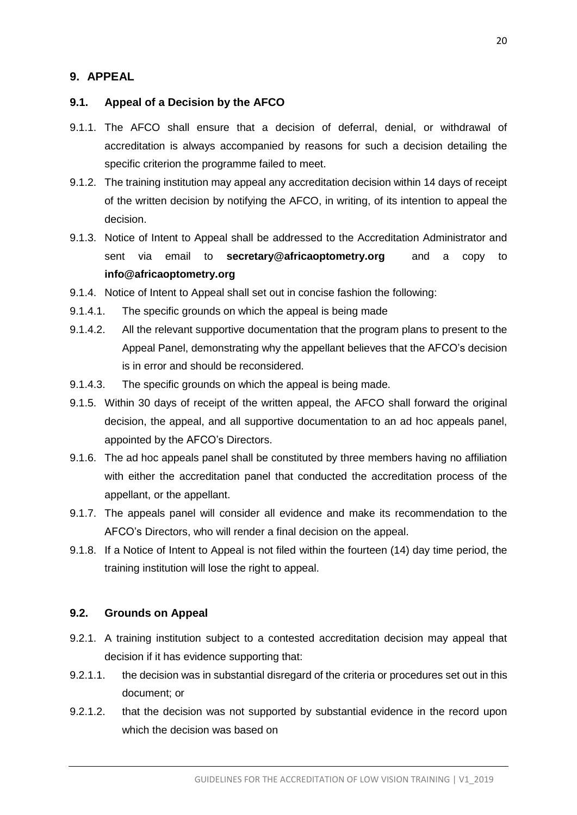## <span id="page-20-0"></span>**9. APPEAL**

#### <span id="page-20-1"></span>**9.1. Appeal of a Decision by the AFCO**

- 9.1.1. The AFCO shall ensure that a decision of deferral, denial, or withdrawal of accreditation is always accompanied by reasons for such a decision detailing the specific criterion the programme failed to meet.
- 9.1.2. The training institution may appeal any accreditation decision within 14 days of receipt of the written decision by notifying the AFCO, in writing, of its intention to appeal the decision.
- 9.1.3. Notice of Intent to Appeal shall be addressed to the Accreditation Administrator and sent via email to **[secretary@africaoptometry.org](mailto:secretary@africaoptometry.org)** and a copy to **[info@africaoptometry.org](mailto:info@africaoptometry.org)**
- 9.1.4. Notice of Intent to Appeal shall set out in concise fashion the following:
- 9.1.4.1. The specific grounds on which the appeal is being made
- 9.1.4.2. All the relevant supportive documentation that the program plans to present to the Appeal Panel, demonstrating why the appellant believes that the AFCO's decision is in error and should be reconsidered.
- 9.1.4.3. The specific grounds on which the appeal is being made.
- 9.1.5. Within 30 days of receipt of the written appeal, the AFCO shall forward the original decision, the appeal, and all supportive documentation to an ad hoc appeals panel, appointed by the AFCO's Directors.
- 9.1.6. The ad hoc appeals panel shall be constituted by three members having no affiliation with either the accreditation panel that conducted the accreditation process of the appellant, or the appellant.
- 9.1.7. The appeals panel will consider all evidence and make its recommendation to the AFCO's Directors, who will render a final decision on the appeal.
- 9.1.8. If a Notice of Intent to Appeal is not filed within the fourteen (14) day time period, the training institution will lose the right to appeal.

#### <span id="page-20-2"></span>**9.2. Grounds on Appeal**

- 9.2.1. A training institution subject to a contested accreditation decision may appeal that decision if it has evidence supporting that:
- 9.2.1.1. the decision was in substantial disregard of the criteria or procedures set out in this document; or
- 9.2.1.2. that the decision was not supported by substantial evidence in the record upon which the decision was based on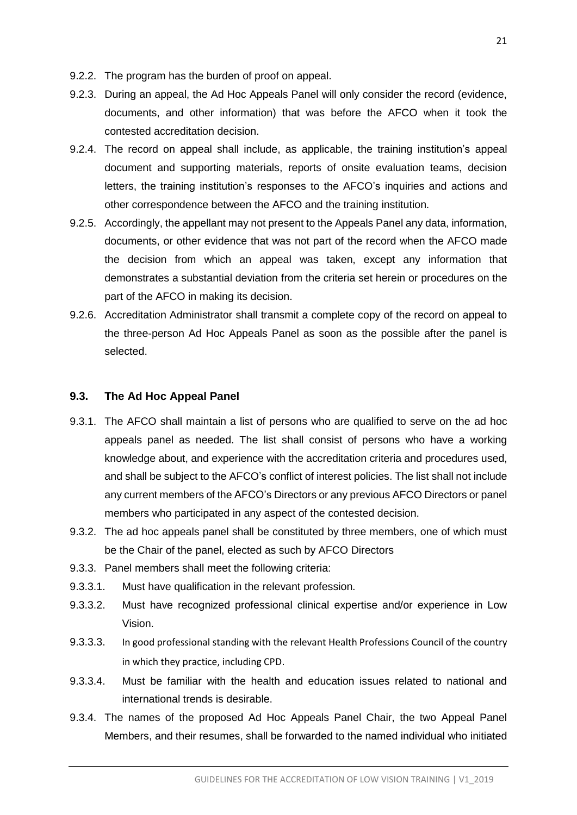- 9.2.2. The program has the burden of proof on appeal.
- 9.2.3. During an appeal, the Ad Hoc Appeals Panel will only consider the record (evidence, documents, and other information) that was before the AFCO when it took the contested accreditation decision.
- 9.2.4. The record on appeal shall include, as applicable, the training institution's appeal document and supporting materials, reports of onsite evaluation teams, decision letters, the training institution's responses to the AFCO's inquiries and actions and other correspondence between the AFCO and the training institution.
- 9.2.5. Accordingly, the appellant may not present to the Appeals Panel any data, information, documents, or other evidence that was not part of the record when the AFCO made the decision from which an appeal was taken, except any information that demonstrates a substantial deviation from the criteria set herein or procedures on the part of the AFCO in making its decision.
- 9.2.6. Accreditation Administrator shall transmit a complete copy of the record on appeal to the three-person Ad Hoc Appeals Panel as soon as the possible after the panel is selected.

#### <span id="page-21-0"></span>**9.3. The Ad Hoc Appeal Panel**

- 9.3.1. The AFCO shall maintain a list of persons who are qualified to serve on the ad hoc appeals panel as needed. The list shall consist of persons who have a working knowledge about, and experience with the accreditation criteria and procedures used, and shall be subject to the AFCO's conflict of interest policies. The list shall not include any current members of the AFCO's Directors or any previous AFCO Directors or panel members who participated in any aspect of the contested decision.
- 9.3.2. The ad hoc appeals panel shall be constituted by three members, one of which must be the Chair of the panel, elected as such by AFCO Directors
- 9.3.3. Panel members shall meet the following criteria:
- 9.3.3.1. Must have qualification in the relevant profession.
- 9.3.3.2. Must have recognized professional clinical expertise and/or experience in Low Vision.
- 9.3.3.3. In good professional standing with the relevant Health Professions Council of the country in which they practice, including CPD.
- 9.3.3.4. Must be familiar with the health and education issues related to national and international trends is desirable.
- 9.3.4. The names of the proposed Ad Hoc Appeals Panel Chair, the two Appeal Panel Members, and their resumes, shall be forwarded to the named individual who initiated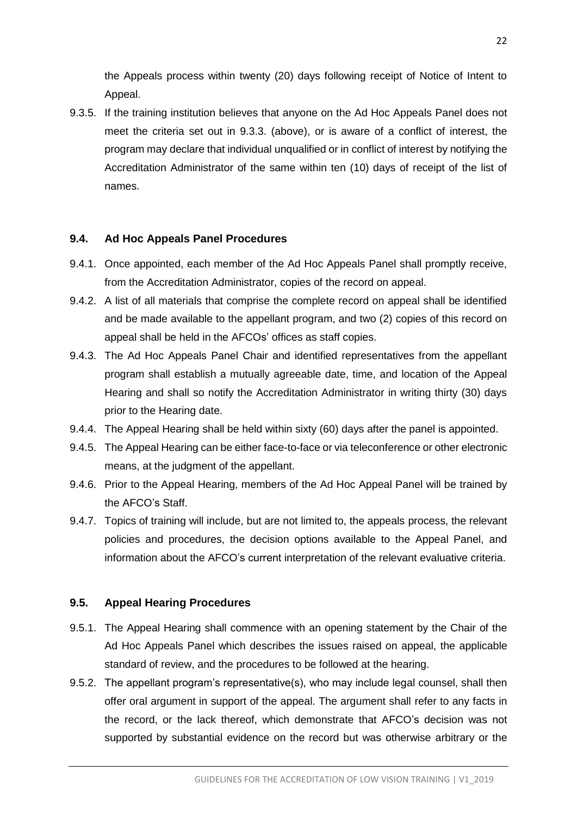the Appeals process within twenty (20) days following receipt of Notice of Intent to Appeal.

9.3.5. If the training institution believes that anyone on the Ad Hoc Appeals Panel does not meet the criteria set out in 9.3.3. (above), or is aware of a conflict of interest, the program may declare that individual unqualified or in conflict of interest by notifying the Accreditation Administrator of the same within ten (10) days of receipt of the list of names.

#### <span id="page-22-0"></span>**9.4. Ad Hoc Appeals Panel Procedures**

- 9.4.1. Once appointed, each member of the Ad Hoc Appeals Panel shall promptly receive, from the Accreditation Administrator, copies of the record on appeal.
- 9.4.2. A list of all materials that comprise the complete record on appeal shall be identified and be made available to the appellant program, and two (2) copies of this record on appeal shall be held in the AFCOs' offices as staff copies.
- 9.4.3. The Ad Hoc Appeals Panel Chair and identified representatives from the appellant program shall establish a mutually agreeable date, time, and location of the Appeal Hearing and shall so notify the Accreditation Administrator in writing thirty (30) days prior to the Hearing date.
- 9.4.4. The Appeal Hearing shall be held within sixty (60) days after the panel is appointed.
- 9.4.5. The Appeal Hearing can be either face-to-face or via teleconference or other electronic means, at the judgment of the appellant.
- 9.4.6. Prior to the Appeal Hearing, members of the Ad Hoc Appeal Panel will be trained by the AFCO's Staff.
- 9.4.7. Topics of training will include, but are not limited to, the appeals process, the relevant policies and procedures, the decision options available to the Appeal Panel, and information about the AFCO's current interpretation of the relevant evaluative criteria.

## <span id="page-22-1"></span>**9.5. Appeal Hearing Procedures**

- 9.5.1. The Appeal Hearing shall commence with an opening statement by the Chair of the Ad Hoc Appeals Panel which describes the issues raised on appeal, the applicable standard of review, and the procedures to be followed at the hearing.
- 9.5.2. The appellant program's representative(s), who may include legal counsel, shall then offer oral argument in support of the appeal. The argument shall refer to any facts in the record, or the lack thereof, which demonstrate that AFCO's decision was not supported by substantial evidence on the record but was otherwise arbitrary or the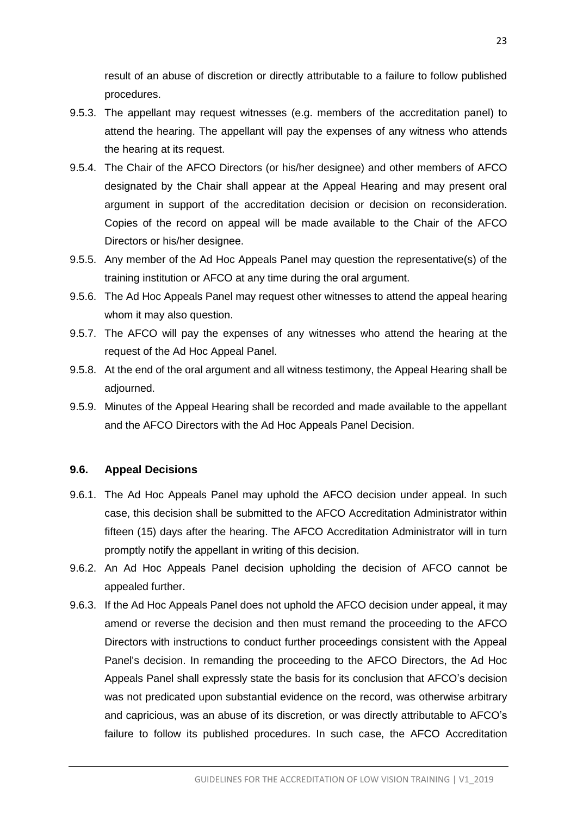result of an abuse of discretion or directly attributable to a failure to follow published procedures.

- 9.5.3. The appellant may request witnesses (e.g. members of the accreditation panel) to attend the hearing. The appellant will pay the expenses of any witness who attends the hearing at its request.
- 9.5.4. The Chair of the AFCO Directors (or his/her designee) and other members of AFCO designated by the Chair shall appear at the Appeal Hearing and may present oral argument in support of the accreditation decision or decision on reconsideration. Copies of the record on appeal will be made available to the Chair of the AFCO Directors or his/her designee.
- 9.5.5. Any member of the Ad Hoc Appeals Panel may question the representative(s) of the training institution or AFCO at any time during the oral argument.
- 9.5.6. The Ad Hoc Appeals Panel may request other witnesses to attend the appeal hearing whom it may also question.
- 9.5.7. The AFCO will pay the expenses of any witnesses who attend the hearing at the request of the Ad Hoc Appeal Panel.
- 9.5.8. At the end of the oral argument and all witness testimony, the Appeal Hearing shall be adjourned.
- 9.5.9. Minutes of the Appeal Hearing shall be recorded and made available to the appellant and the AFCO Directors with the Ad Hoc Appeals Panel Decision.

#### <span id="page-23-0"></span>**9.6. Appeal Decisions**

- 9.6.1. The Ad Hoc Appeals Panel may uphold the AFCO decision under appeal. In such case, this decision shall be submitted to the AFCO Accreditation Administrator within fifteen (15) days after the hearing. The AFCO Accreditation Administrator will in turn promptly notify the appellant in writing of this decision.
- 9.6.2. An Ad Hoc Appeals Panel decision upholding the decision of AFCO cannot be appealed further.
- 9.6.3. If the Ad Hoc Appeals Panel does not uphold the AFCO decision under appeal, it may amend or reverse the decision and then must remand the proceeding to the AFCO Directors with instructions to conduct further proceedings consistent with the Appeal Panel's decision. In remanding the proceeding to the AFCO Directors, the Ad Hoc Appeals Panel shall expressly state the basis for its conclusion that AFCO's decision was not predicated upon substantial evidence on the record, was otherwise arbitrary and capricious, was an abuse of its discretion, or was directly attributable to AFCO's failure to follow its published procedures. In such case, the AFCO Accreditation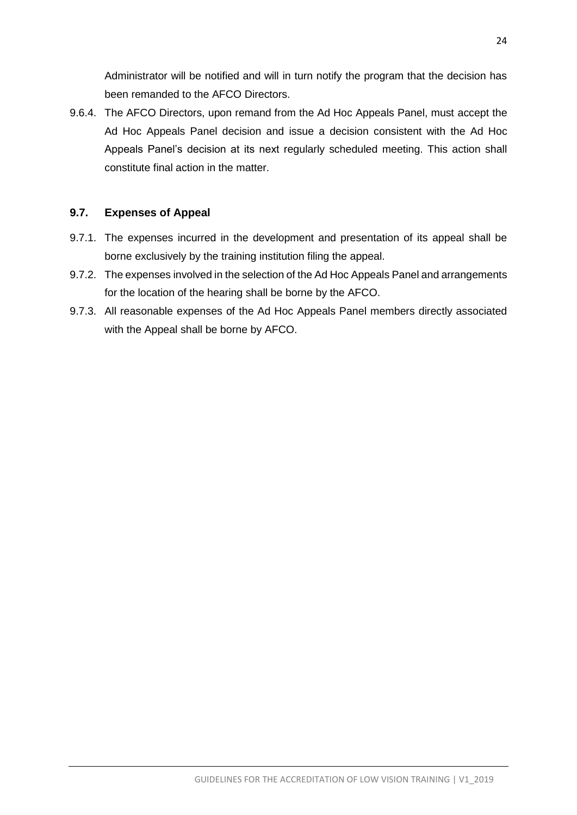Administrator will be notified and will in turn notify the program that the decision has been remanded to the AFCO Directors.

9.6.4. The AFCO Directors, upon remand from the Ad Hoc Appeals Panel, must accept the Ad Hoc Appeals Panel decision and issue a decision consistent with the Ad Hoc Appeals Panel's decision at its next regularly scheduled meeting. This action shall constitute final action in the matter.

## <span id="page-24-0"></span>**9.7. Expenses of Appeal**

- 9.7.1. The expenses incurred in the development and presentation of its appeal shall be borne exclusively by the training institution filing the appeal.
- 9.7.2. The expenses involved in the selection of the Ad Hoc Appeals Panel and arrangements for the location of the hearing shall be borne by the AFCO.
- 9.7.3. All reasonable expenses of the Ad Hoc Appeals Panel members directly associated with the Appeal shall be borne by AFCO.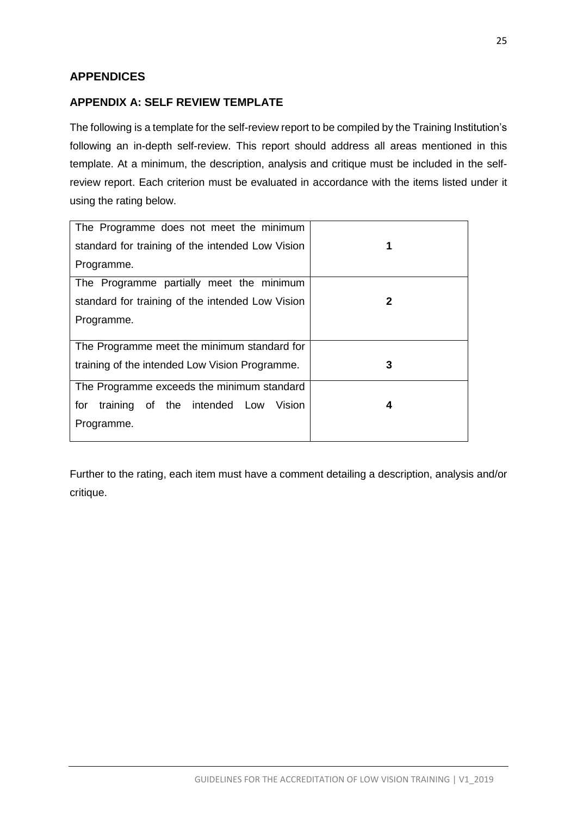# <span id="page-25-0"></span>**APPENDICES**

### <span id="page-25-1"></span>**APPENDIX A: SELF REVIEW TEMPLATE**

The following is a template for the self-review report to be compiled by the Training Institution's following an in-depth self-review. This report should address all areas mentioned in this template. At a minimum, the description, analysis and critique must be included in the selfreview report. Each criterion must be evaluated in accordance with the items listed under it using the rating below.

| The Programme does not meet the minimum          |   |
|--------------------------------------------------|---|
| standard for training of the intended Low Vision |   |
| Programme.                                       |   |
| The Programme partially meet the minimum         |   |
| standard for training of the intended Low Vision | 2 |
| Programme.                                       |   |
|                                                  |   |
| The Programme meet the minimum standard for      |   |
| training of the intended Low Vision Programme.   | 3 |
| The Programme exceeds the minimum standard       |   |
| for<br>training of the intended Low<br>Vision    | 4 |
| Programme.                                       |   |
|                                                  |   |

Further to the rating, each item must have a comment detailing a description, analysis and/or critique.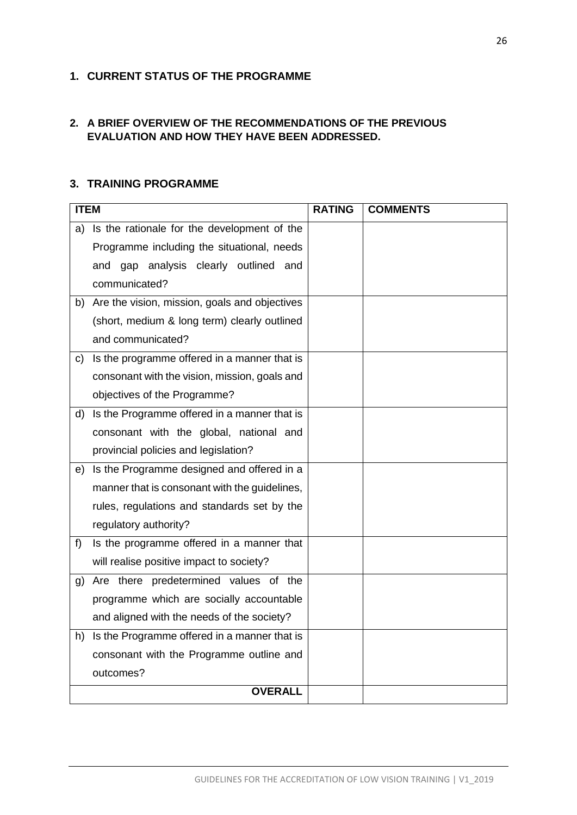## <span id="page-26-0"></span>**1. CURRENT STATUS OF THE PROGRAMME**

## **2. A BRIEF OVERVIEW OF THE RECOMMENDATIONS OF THE PREVIOUS EVALUATION AND HOW THEY HAVE BEEN ADDRESSED.**

### <span id="page-26-1"></span>**3. TRAINING PROGRAMME**

| <b>ITEM</b> |                                               | <b>RATING</b> | <b>COMMENTS</b> |
|-------------|-----------------------------------------------|---------------|-----------------|
| a)          | Is the rationale for the development of the   |               |                 |
|             | Programme including the situational, needs    |               |                 |
|             | and gap analysis clearly outlined and         |               |                 |
|             | communicated?                                 |               |                 |
| b)          | Are the vision, mission, goals and objectives |               |                 |
|             | (short, medium & long term) clearly outlined  |               |                 |
|             | and communicated?                             |               |                 |
| c)          | Is the programme offered in a manner that is  |               |                 |
|             | consonant with the vision, mission, goals and |               |                 |
|             | objectives of the Programme?                  |               |                 |
| d)          | Is the Programme offered in a manner that is  |               |                 |
|             | consonant with the global, national and       |               |                 |
|             | provincial policies and legislation?          |               |                 |
| e)          | Is the Programme designed and offered in a    |               |                 |
|             | manner that is consonant with the guidelines, |               |                 |
|             | rules, regulations and standards set by the   |               |                 |
|             | regulatory authority?                         |               |                 |
| f)          | Is the programme offered in a manner that     |               |                 |
|             | will realise positive impact to society?      |               |                 |
| g)          | Are there predetermined values of the         |               |                 |
|             | programme which are socially accountable      |               |                 |
|             | and aligned with the needs of the society?    |               |                 |
| h)          | Is the Programme offered in a manner that is  |               |                 |
|             | consonant with the Programme outline and      |               |                 |
|             | outcomes?                                     |               |                 |
|             | <b>OVERALL</b>                                |               |                 |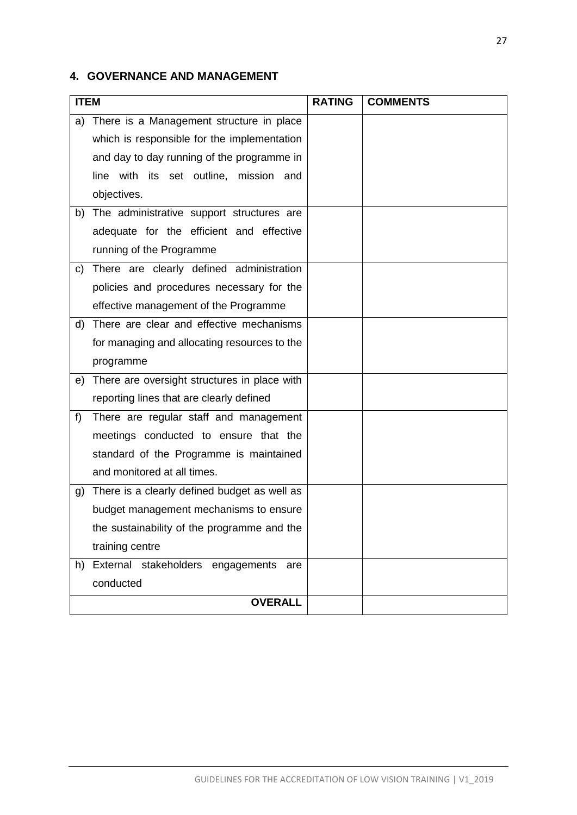# <span id="page-27-0"></span>**4. GOVERNANCE AND MANAGEMENT**

|    | <b>ITEM</b>                                  |  | <b>COMMENTS</b> |
|----|----------------------------------------------|--|-----------------|
| a) | There is a Management structure in place     |  |                 |
|    | which is responsible for the implementation  |  |                 |
|    | and day to day running of the programme in   |  |                 |
|    | line with its set outline, mission and       |  |                 |
|    | objectives.                                  |  |                 |
| b) | The administrative support structures are    |  |                 |
|    | adequate for the efficient and effective     |  |                 |
|    | running of the Programme                     |  |                 |
| C) | There are clearly defined administration     |  |                 |
|    | policies and procedures necessary for the    |  |                 |
|    | effective management of the Programme        |  |                 |
| d) | There are clear and effective mechanisms     |  |                 |
|    | for managing and allocating resources to the |  |                 |
|    | programme                                    |  |                 |
| e) | There are oversight structures in place with |  |                 |
|    | reporting lines that are clearly defined     |  |                 |
| f) | There are regular staff and management       |  |                 |
|    | meetings conducted to ensure that the        |  |                 |
|    | standard of the Programme is maintained      |  |                 |
|    | and monitored at all times.                  |  |                 |
| g) | There is a clearly defined budget as well as |  |                 |
|    | budget management mechanisms to ensure       |  |                 |
|    | the sustainability of the programme and the  |  |                 |
|    | training centre                              |  |                 |
| h) | External stakeholders engagements<br>are     |  |                 |
|    | conducted                                    |  |                 |
|    | <b>OVERALL</b>                               |  |                 |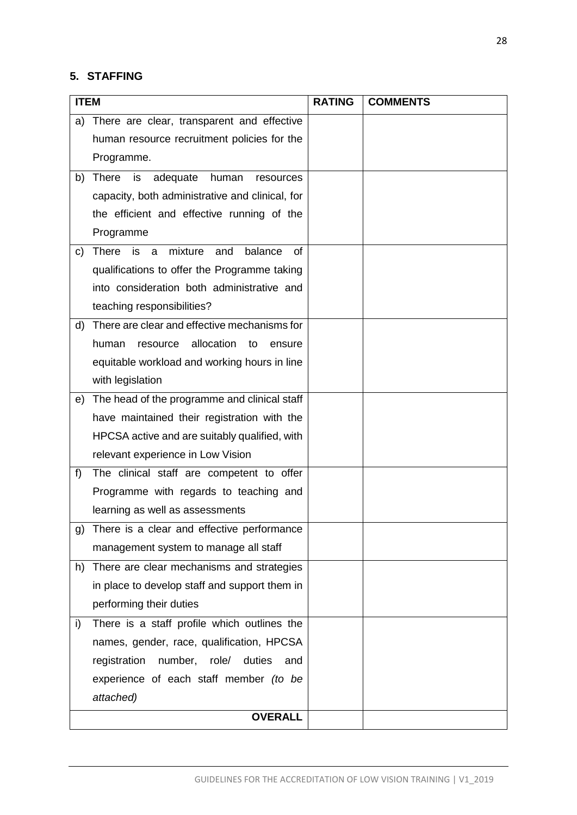# <span id="page-28-0"></span>**5. STAFFING**

| <b>ITEM</b> |                                                            | <b>RATING</b> | <b>COMMENTS</b> |
|-------------|------------------------------------------------------------|---------------|-----------------|
| a)          | There are clear, transparent and effective                 |               |                 |
|             | human resource recruitment policies for the                |               |                 |
|             | Programme.                                                 |               |                 |
| b)          | <b>There</b><br>is<br>adequate<br>human<br>resources       |               |                 |
|             | capacity, both administrative and clinical, for            |               |                 |
|             | the efficient and effective running of the                 |               |                 |
|             | Programme                                                  |               |                 |
| C)          | <b>There</b><br>mixture<br>balance<br>is<br>a<br>and<br>οf |               |                 |
|             | qualifications to offer the Programme taking               |               |                 |
|             | into consideration both administrative and                 |               |                 |
|             | teaching responsibilities?                                 |               |                 |
| d)          | There are clear and effective mechanisms for               |               |                 |
|             | allocation<br>human<br>resource<br>to<br>ensure            |               |                 |
|             | equitable workload and working hours in line               |               |                 |
|             | with legislation                                           |               |                 |
| e)          | The head of the programme and clinical staff               |               |                 |
|             | have maintained their registration with the                |               |                 |
|             | HPCSA active and are suitably qualified, with              |               |                 |
|             | relevant experience in Low Vision                          |               |                 |
| f)          | The clinical staff are competent to offer                  |               |                 |
|             | Programme with regards to teaching and                     |               |                 |
|             | learning as well as assessments                            |               |                 |
| g)          | There is a clear and effective performance                 |               |                 |
|             | management system to manage all staff                      |               |                 |
| h)          | There are clear mechanisms and strategies                  |               |                 |
|             | in place to develop staff and support them in              |               |                 |
|             | performing their duties                                    |               |                 |
| i)          | There is a staff profile which outlines the                |               |                 |
|             | names, gender, race, qualification, HPCSA                  |               |                 |
|             | registration<br>number, role/<br>duties<br>and             |               |                 |
|             | experience of each staff member (to be                     |               |                 |
|             | attached)                                                  |               |                 |
|             | <b>OVERALL</b>                                             |               |                 |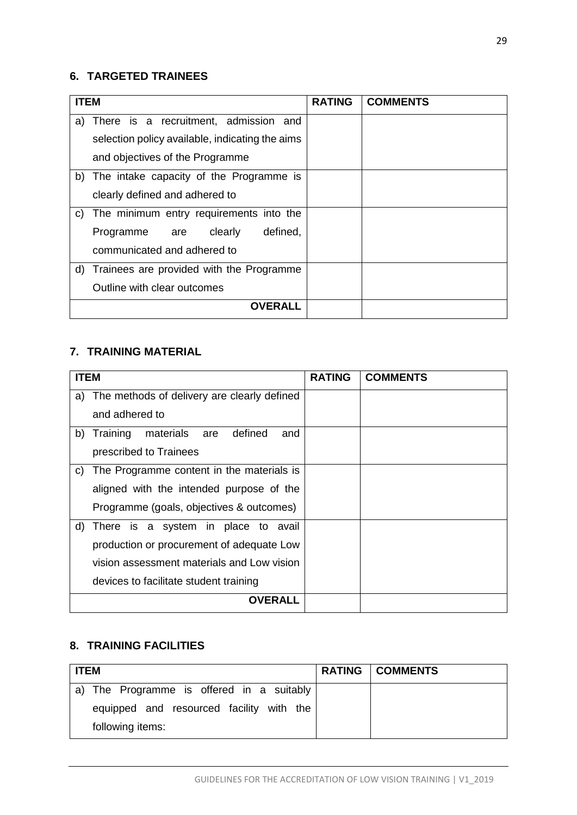# <span id="page-29-0"></span>**6. TARGETED TRAINEES**

| <b>ITEM</b>                                     | <b>RATING</b> | <b>COMMENTS</b> |
|-------------------------------------------------|---------------|-----------------|
| There is a recruitment, admission and<br>a)     |               |                 |
| selection policy available, indicating the aims |               |                 |
| and objectives of the Programme                 |               |                 |
| b) The intake capacity of the Programme is      |               |                 |
| clearly defined and adhered to                  |               |                 |
| The minimum entry requirements into the<br>C)   |               |                 |
| defined,<br>Programme are clearly               |               |                 |
| communicated and adhered to                     |               |                 |
| d) Trainees are provided with the Programme     |               |                 |
| Outline with clear outcomes                     |               |                 |
| <b>OVERALL</b>                                  |               |                 |

## <span id="page-29-1"></span>**7. TRAINING MATERIAL**

| <b>ITEM</b> |                                                | <b>RATING</b> | <b>COMMENTS</b> |
|-------------|------------------------------------------------|---------------|-----------------|
| a)          | The methods of delivery are clearly defined    |               |                 |
|             | and adhered to                                 |               |                 |
| b)          | materials<br>defined<br>Training<br>are<br>and |               |                 |
|             | prescribed to Trainees                         |               |                 |
| C)          | The Programme content in the materials is      |               |                 |
|             | aligned with the intended purpose of the       |               |                 |
|             | Programme (goals, objectives & outcomes)       |               |                 |
| d)          | There is a system in place to avail            |               |                 |
|             | production or procurement of adequate Low      |               |                 |
|             | vision assessment materials and Low vision     |               |                 |
|             | devices to facilitate student training         |               |                 |
|             | OVFRAL I                                       |               |                 |

# <span id="page-29-2"></span>**8. TRAINING FACILITIES**

| <b>ITEM</b>                               | <b>RATING   COMMENTS</b> |
|-------------------------------------------|--------------------------|
| a) The Programme is offered in a suitably |                          |
| equipped and resourced facility with the  |                          |
| following items:                          |                          |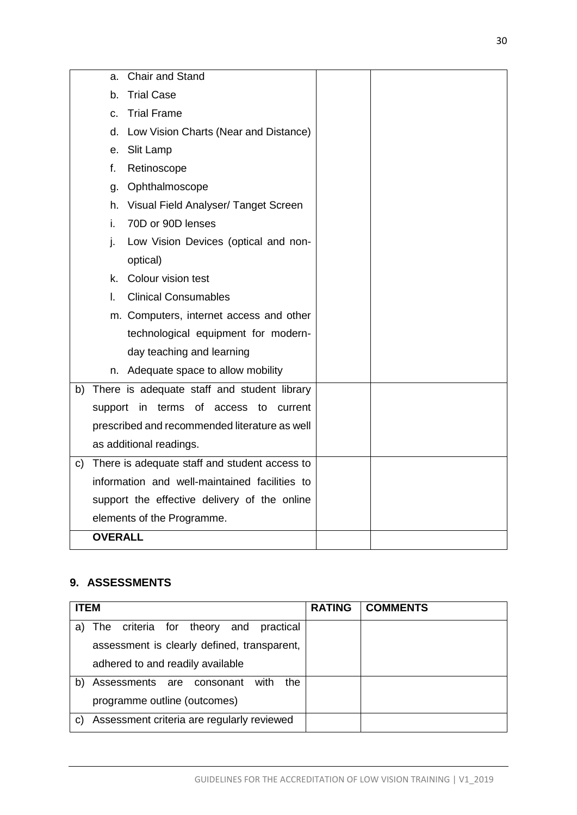|    | Chair and Stand                               |         |  |
|----|-----------------------------------------------|---------|--|
|    | a.                                            |         |  |
|    | <b>Trial Case</b><br>b.                       |         |  |
|    | <b>Trial Frame</b><br>C.                      |         |  |
|    | d. Low Vision Charts (Near and Distance)      |         |  |
|    | e. Slit Lamp                                  |         |  |
|    | f.<br>Retinoscope                             |         |  |
|    | Ophthalmoscope<br>a.                          |         |  |
|    | h. Visual Field Analyser/ Tanget Screen       |         |  |
|    | i.<br>70D or 90D lenses                       |         |  |
|    | j.<br>Low Vision Devices (optical and non-    |         |  |
|    | optical)                                      |         |  |
|    | k. Colour vision test                         |         |  |
|    | <b>Clinical Consumables</b><br>L.             |         |  |
|    | m. Computers, internet access and other       |         |  |
|    | technological equipment for modern-           |         |  |
|    | day teaching and learning                     |         |  |
|    | n. Adequate space to allow mobility           |         |  |
| b) | There is adequate staff and student library   |         |  |
|    | support in terms of access to                 | current |  |
|    | prescribed and recommended literature as well |         |  |
|    | as additional readings.                       |         |  |
| C) | There is adequate staff and student access to |         |  |
|    | information and well-maintained facilities to |         |  |
|    | support the effective delivery of the online  |         |  |
|    | elements of the Programme.                    |         |  |
|    | <b>OVERALL</b>                                |         |  |
|    |                                               |         |  |

# <span id="page-30-0"></span>**9. ASSESSMENTS**

| <b>ITEM</b>                                      | <b>RATING</b> | <b>COMMENTS</b> |
|--------------------------------------------------|---------------|-----------------|
| The criteria for theory and<br>practical<br>a)   |               |                 |
| assessment is clearly defined, transparent,      |               |                 |
| adhered to and readily available                 |               |                 |
| Assessments are consonant<br>the<br>b)<br>with   |               |                 |
| programme outline (outcomes)                     |               |                 |
| Assessment criteria are regularly reviewed<br>C) |               |                 |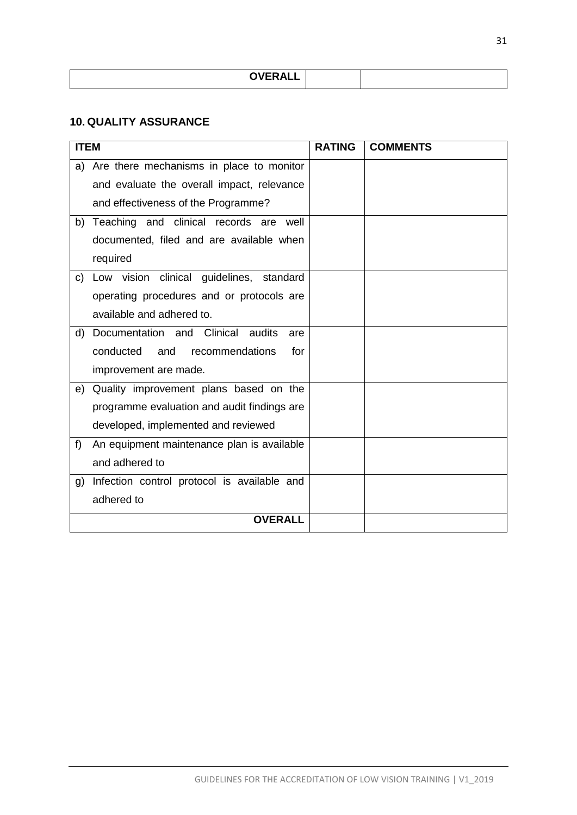| <b>OVERALL</b><br>-- |  |
|----------------------|--|

### <span id="page-31-0"></span>**10. QUALITY ASSURANCE**

| <b>ITEM</b> |                                             | <b>RATING</b> | <b>COMMENTS</b> |
|-------------|---------------------------------------------|---------------|-----------------|
| a)          | Are there mechanisms in place to monitor    |               |                 |
|             | and evaluate the overall impact, relevance  |               |                 |
|             | and effectiveness of the Programme?         |               |                 |
| b)          | Teaching and clinical records are well      |               |                 |
|             | documented, filed and are available when    |               |                 |
|             | required                                    |               |                 |
| C)          | Low vision clinical guidelines, standard    |               |                 |
|             | operating procedures and or protocols are   |               |                 |
|             | available and adhered to.                   |               |                 |
| d)          | Documentation and Clinical audits<br>are    |               |                 |
|             | conducted<br>and<br>recommendations<br>for  |               |                 |
|             | improvement are made.                       |               |                 |
| e)          | Quality improvement plans based on the      |               |                 |
|             | programme evaluation and audit findings are |               |                 |
|             | developed, implemented and reviewed         |               |                 |
| f)          | An equipment maintenance plan is available  |               |                 |
|             | and adhered to                              |               |                 |
| g)          | Infection control protocol is available and |               |                 |
|             | adhered to                                  |               |                 |
|             | <b>OVERALL</b>                              |               |                 |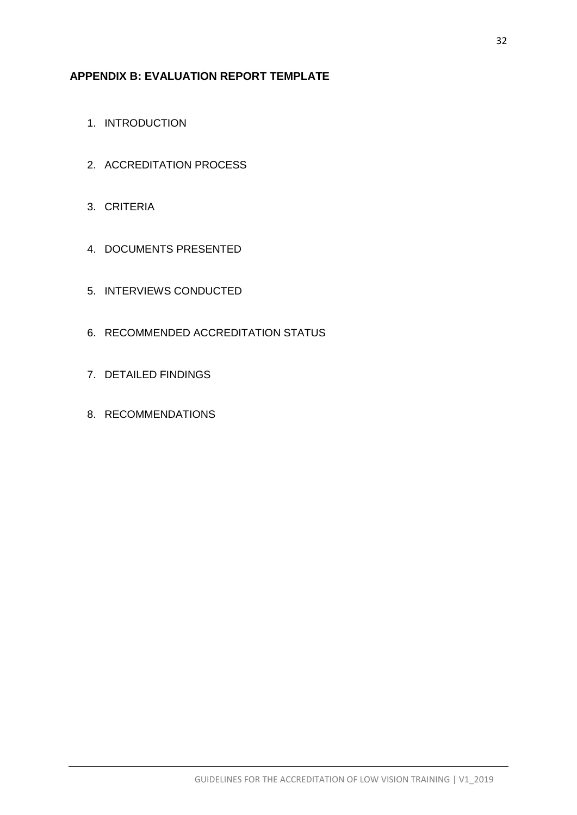## <span id="page-32-0"></span>**APPENDIX B: EVALUATION REPORT TEMPLATE**

- 1. INTRODUCTION
- 2. ACCREDITATION PROCESS
- 3. CRITERIA
- 4. DOCUMENTS PRESENTED
- 5. INTERVIEWS CONDUCTED
- 6. RECOMMENDED ACCREDITATION STATUS
- 7. DETAILED FINDINGS
- 8. RECOMMENDATIONS